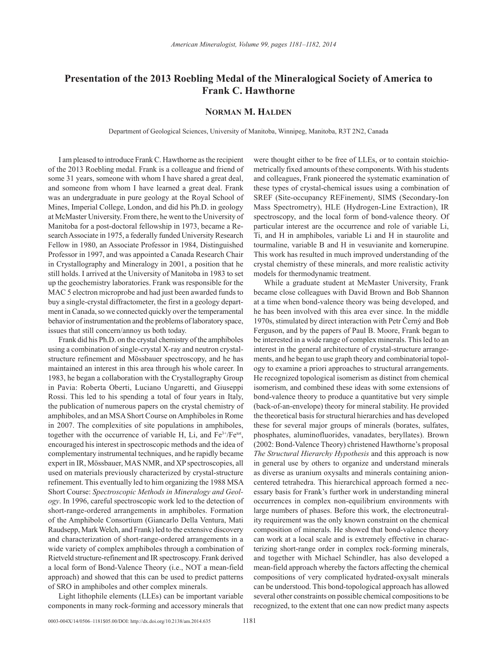## **Presentation of the 2013 Roebling Medal of the Mineralogical Society of America to Frank C. Hawthorne**

## **Norman M. Halden**

Department of Geological Sciences, University of Manitoba, Winnipeg, Manitoba, R3T 2N2, Canada

I am pleased to introduce Frank C. Hawthorne as the recipient of the 2013 Roebling medal. Frank is a colleague and friend of some 31 years, someone with whom I have shared a great deal, and someone from whom I have learned a great deal. Frank was an undergraduate in pure geology at the Royal School of Mines, Imperial College, London, and did his Ph.D. in geology at McMaster University. From there, he went to the University of Manitoba for a post-doctoral fellowship in 1973, became a Research Associate in 1975, a federally funded University Research Fellow in 1980, an Associate Professor in 1984, Distinguished Professor in 1997, and was appointed a Canada Research Chair in Crystallography and Mineralogy in 2001, a position that he still holds. I arrived at the University of Manitoba in 1983 to set up the geochemistry laboratories. Frank was responsible for the MAC 5 electron microprobe and had just been awarded funds to buy a single-crystal diffractometer, the first in a geology department in Canada, so we connected quickly over the temperamental behavior of instrumentation and the problems of laboratory space, issues that still concern/annoy us both today.

Frank did his Ph.D. on the crystal chemistry of the amphiboles using a combination of single-crystal X-ray and neutron crystalstructure refinement and Mössbauer spectroscopy, and he has maintained an interest in this area through his whole career. In 1983, he began a collaboration with the Crystallography Group in Pavia: Roberta Oberti, Luciano Ungaretti, and Giuseppi Rossi. This led to his spending a total of four years in Italy, the publication of numerous papers on the crystal chemistry of amphiboles, and an MSA Short Course on Amphiboles in Rome in 2007. The complexities of site populations in amphiboles, together with the occurrence of variable H, Li, and Fe<sup>3+</sup>/Fe<sup>tot</sup>, encouraged his interest in spectroscopic methods and the idea of complementary instrumental techniques, and he rapidly became expert in IR, Mössbauer, MAS NMR, and XP spectroscopies, all used on materials previously characterized by crystal-structure refinement. This eventually led to him organizing the 1988 MSA Short Course: *Spectroscopic Methods in Mineralogy and Geology*. In 1996, careful spectroscopic work led to the detection of short-range-ordered arrangements in amphiboles. Formation of the Amphibole Consortium (Giancarlo Della Ventura, Mati Raudsepp, Mark Welch, and Frank) led to the extensive discovery and characterization of short-range-ordered arrangements in a wide variety of complex amphiboles through a combination of Rietveld structure-refinement and IR spectroscopy. Frank derived a local form of Bond-Valence Theory (i.e., NOT a mean-field approach) and showed that this can be used to predict patterns of SRO in amphiboles and other complex minerals.

Light lithophile elements (LLEs) can be important variable components in many rock-forming and accessory minerals that were thought either to be free of LLEs, or to contain stoichiometrically fixed amounts of these components. With his students and colleagues, Frank pioneered the systematic examination of these types of crystal-chemical issues using a combination of SREF (Site-occupancy REFinement*)*, SIMS (Secondary-Ion Mass Spectrometry), HLE (Hydrogen-Line Extraction), IR spectroscopy, and the local form of bond-valence theory. Of particular interest are the occurrence and role of variable Li, Ti, and H in amphiboles, variable Li and H in staurolite and tourmaline, variable B and H in vesuvianite and kornerupine. This work has resulted in much improved understanding of the crystal chemistry of these minerals, and more realistic activity models for thermodynamic treatment.

While a graduate student at McMaster University, Frank became close colleagues with David Brown and Bob Shannon at a time when bond-valence theory was being developed, and he has been involved with this area ever since. In the middle 1970s, stimulated by direct interaction with Petr Černý and Bob Ferguson, and by the papers of Paul B. Moore, Frank began to be interested in a wide range of complex minerals. This led to an interest in the general architecture of crystal-structure arrangements, and he began to use graph theory and combinatorial topology to examine a priori approaches to structural arrangements. He recognized topological isomerism as distinct from chemical isomerism, and combined these ideas with some extensions of bond-valence theory to produce a quantitative but very simple (back-of-an-envelope) theory for mineral stability. He provided the theoretical basis for structural hierarchies and has developed these for several major groups of minerals (borates, sulfates, phosphates, aluminofluorides, vanadates, beryllates). Brown (2002: Bond-Valence Theory) christened Hawthorne's proposal *The Structural Hierarchy Hypothesis* and this approach is now in general use by others to organize and understand minerals as diverse as uranium oxysalts and minerals containing anioncentered tetrahedra. This hierarchical approach formed a necessary basis for Frank's further work in understanding mineral occurrences in complex non-equilibrium environments with large numbers of phases. Before this work, the electroneutrality requirement was the only known constraint on the chemical composition of minerals. He showed that bond-valence theory can work at a local scale and is extremely effective in characterizing short-range order in complex rock-forming minerals, and together with Michael Schindler, has also developed a mean-field approach whereby the factors affecting the chemical compositions of very complicated hydrated-oxysalt minerals can be understood. This bond-topological approach has allowed several other constraints on possible chemical compositions to be recognized, to the extent that one can now predict many aspects